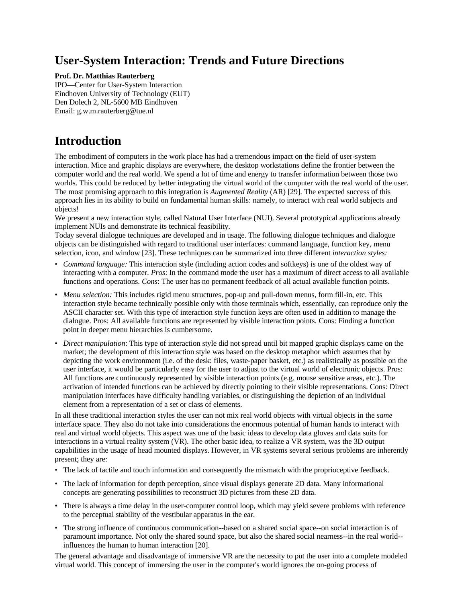# **User-System Interaction: Trends and Future Directions**

### **Prof. Dr. Matthias Rauterberg**

IPO—Center for User-System Interaction Eindhoven University of Technology (EUT) Den Dolech 2, NL-5600 MB Eindhoven Email: g.w.m.rauterberg@tue.nl

# **Introduction**

The embodiment of computers in the work place has had a tremendous impact on the field of user-system interaction. Mice and graphic displays are everywhere, the desktop workstations define the frontier between the computer world and the real world. We spend a lot of time and energy to transfer information between those two worlds. This could be reduced by better integrating the virtual world of the computer with the real world of the user. The most promising approach to this integration is *Augmented Reality* (AR) [29]. The expected success of this approach lies in its ability to build on fundamental human skills: namely, to interact with real world subjects and objects!

We present a new interaction style, called Natural User Interface (NUI). Several prototypical applications already implement NUIs and demonstrate its technical feasibility.

Today several dialogue techniques are developed and in usage. The following dialogue techniques and dialogue objects can be distinguished with regard to traditional user interfaces: command language, function key, menu selection, icon, and window [23]. These techniques can be summarized into three different *interaction styles:*

- *Command language:* This interaction style (including action codes and softkeys) is one of the oldest way of interacting with a computer. *Pros*: In the command mode the user has a maximum of direct access to all available functions and operations. *Cons*: The user has no permanent feedback of all actual available function points.
- *Menu selection:* This includes rigid menu structures, pop-up and pull-down menus, form fill-in, etc. This interaction style became technically possible only with those terminals which, essentially, can reproduce only the ASCII character set. With this type of interaction style function keys are often used in addition to manage the dialogue. Pros: All available functions are represented by visible interaction points. Cons: Finding a function point in deeper menu hierarchies is cumbersome.
- *Direct manipulation*: This type of interaction style did not spread until bit mapped graphic displays came on the market; the development of this interaction style was based on the desktop metaphor which assumes that by depicting the work environment (i.e. of the desk: files, waste-paper basket, etc.) as realistically as possible on the user interface, it would be particularly easy for the user to adjust to the virtual world of electronic objects. Pros: All functions are continuously represented by visible interaction points (e.g. mouse sensitive areas, etc.). The activation of intended functions can be achieved by directly pointing to their visible representations. Cons: Direct manipulation interfaces have difficulty handling variables, or distinguishing the depiction of an individual element from a representation of a set or class of elements.

In all these traditional interaction styles the user can not mix real world objects with virtual objects in the *same* interface space. They also do not take into considerations the enormous potential of human hands to interact with real and virtual world objects. This aspect was one of the basic ideas to develop data gloves and data suits for interactions in a virtual reality system (VR). The other basic idea, to realize a VR system, was the 3D output capabilities in the usage of head mounted displays. However, in VR systems several serious problems are inherently present; they are:

- The lack of tactile and touch information and consequently the mismatch with the proprioceptive feedback.
- The lack of information for depth perception, since visual displays generate 2D data. Many informational concepts are generating possibilities to reconstruct 3D pictures from these 2D data.
- There is always a time delay in the user-computer control loop, which may yield severe problems with reference to the perceptual stability of the vestibular apparatus in the ear.
- The strong influence of continuous communication--based on a shared social space--on social interaction is of paramount importance. Not only the shared sound space, but also the shared social nearness--in the real world- influences the human to human interaction [20].

The general advantage and disadvantage of immersive VR are the necessity to put the user into a complete modeled virtual world. This concept of immersing the user in the computer's world ignores the on-going process of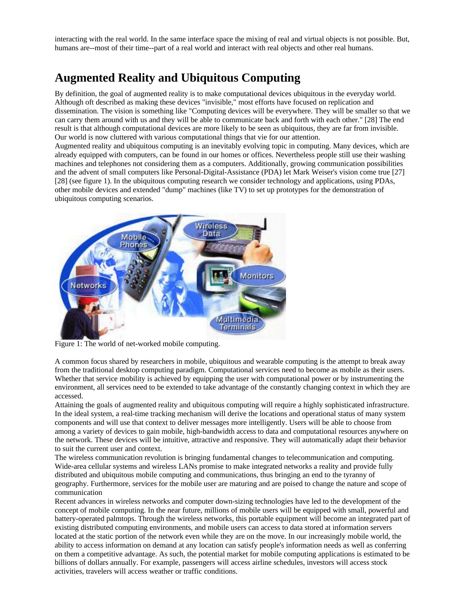interacting with the real world. In the same interface space the mixing of real and virtual objects is not possible. But, humans are--most of their time--part of a real world and interact with real objects and other real humans.

## **Augmented Reality and Ubiquitous Computing**

By definition, the goal of augmented reality is to make computational devices ubiquitous in the everyday world. Although oft described as making these devices "invisible," most efforts have focused on replication and dissemination. The vision is something like "Computing devices will be everywhere. They will be smaller so that we can carry them around with us and they will be able to communicate back and forth with each other." [28] The end result is that although computational devices are more likely to be seen as ubiquitous, they are far from invisible. Our world is now cluttered with various computational things that vie for our attention.

Augmented reality and ubiquitous computing is an inevitably evolving topic in computing. Many devices, which are already equipped with computers, can be found in our homes or offices. Nevertheless people still use their washing machines and telephones not considering them as a computers. Additionally, growing communication possibilities and the advent of small computers like Personal-Digital-Assistance (PDA) let Mark Weiser's vision come true [27] [28] (see figure 1). In the ubiquitous computing research we consider technology and applications, using PDAs, other mobile devices and extended "dump" machines (like TV) to set up prototypes for the demonstration of ubiquitous computing scenarios.



Figure 1: The world of net-worked mobile computing.

A common focus shared by researchers in mobile, ubiquitous and wearable computing is the attempt to break away from the traditional desktop computing paradigm. Computational services need to become as mobile as their users. Whether that service mobility is achieved by equipping the user with computational power or by instrumenting the environment, all services need to be extended to take advantage of the constantly changing context in which they are accessed.

Attaining the goals of augmented reality and ubiquitous computing will require a highly sophisticated infrastructure. In the ideal system, a real-time tracking mechanism will derive the locations and operational status of many system components and will use that context to deliver messages more intelligently. Users will be able to choose from among a variety of devices to gain mobile, high-bandwidth access to data and computational resources anywhere on the network. These devices will be intuitive, attractive and responsive. They will automatically adapt their behavior to suit the current user and context.

The wireless communication revolution is bringing fundamental changes to telecommunication and computing. Wide-area cellular systems and wireless LANs promise to make integrated networks a reality and provide fully distributed and ubiquitous mobile computing and communications, thus bringing an end to the tyranny of geography. Furthermore, services for the mobile user are maturing and are poised to change the nature and scope of communication

Recent advances in wireless networks and computer down-sizing technologies have led to the development of the concept of mobile computing. In the near future, millions of mobile users will be equipped with small, powerful and battery-operated palmtops. Through the wireless networks, this portable equipment will become an integrated part of existing distributed computing environments, and mobile users can access to data stored at information servers located at the static portion of the network even while they are on the move. In our increasingly mobile world, the ability to access information on demand at any location can satisfy people's information needs as well as conferring on them a competitive advantage. As such, the potential market for mobile computing applications is estimated to be billions of dollars annually. For example, passengers will access airline schedules, investors will access stock activities, travelers will access weather or traffic conditions.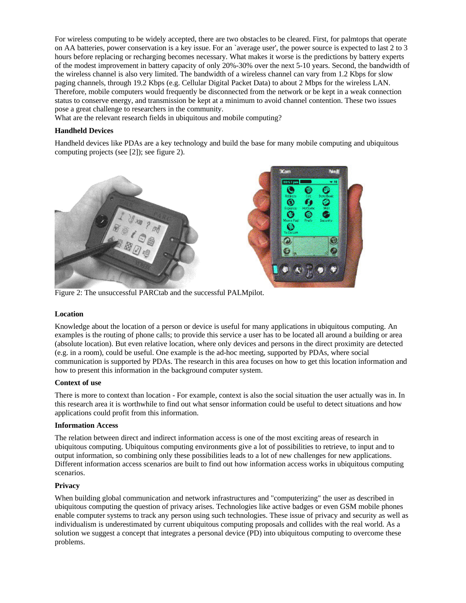For wireless computing to be widely accepted, there are two obstacles to be cleared. First, for palmtops that operate on AA batteries, power conservation is a key issue. For an `average user', the power source is expected to last 2 to 3 hours before replacing or recharging becomes necessary. What makes it worse is the predictions by battery experts of the modest improvement in battery capacity of only 20%-30% over the next 5-10 years. Second, the bandwidth of the wireless channel is also very limited. The bandwidth of a wireless channel can vary from 1.2 Kbps for slow paging channels, through 19.2 Kbps (e.g. Cellular Digital Packet Data) to about 2 Mbps for the wireless LAN. Therefore, mobile computers would frequently be disconnected from the network or be kept in a weak connection status to conserve energy, and transmission be kept at a minimum to avoid channel contention. These two issues pose a great challenge to researchers in the community.

What are the relevant research fields in ubiquitous and mobile computing?

### **Handheld Devices**

Handheld devices like PDAs are a key technology and build the base for many mobile computing and ubiquitous computing projects (see [2]); see figure 2).



Figure 2: The unsuccessful PARCtab and the successful PALMpilot.

#### **Location**

Knowledge about the location of a person or device is useful for many applications in ubiquitous computing. An examples is the routing of phone calls; to provide this service a user has to be located all around a building or area (absolute location). But even relative location, where only devices and persons in the direct proximity are detected (e.g. in a room), could be useful. One example is the ad-hoc meeting, supported by PDAs, where social communication is supported by PDAs. The research in this area focuses on how to get this location information and how to present this information in the background computer system.

#### **Context of use**

There is more to context than location - For example, context is also the social situation the user actually was in. In this research area it is worthwhile to find out what sensor information could be useful to detect situations and how applications could profit from this information.

#### **Information Access**

The relation between direct and indirect information access is one of the most exciting areas of research in ubiquitous computing. Ubiquitous computing environments give a lot of possibilities to retrieve, to input and to output information, so combining only these possibilities leads to a lot of new challenges for new applications. Different information access scenarios are built to find out how information access works in ubiquitous computing scenarios.

### **Privacy**

When building global communication and network infrastructures and "computerizing" the user as described in ubiquitous computing the question of privacy arises. Technologies like active badges or even GSM mobile phones enable computer systems to track any person using such technologies. These issue of privacy and security as well as individualism is underestimated by current ubiquitous computing proposals and collides with the real world. As a solution we suggest a concept that integrates a personal device (PD) into ubiquitous computing to overcome these problems.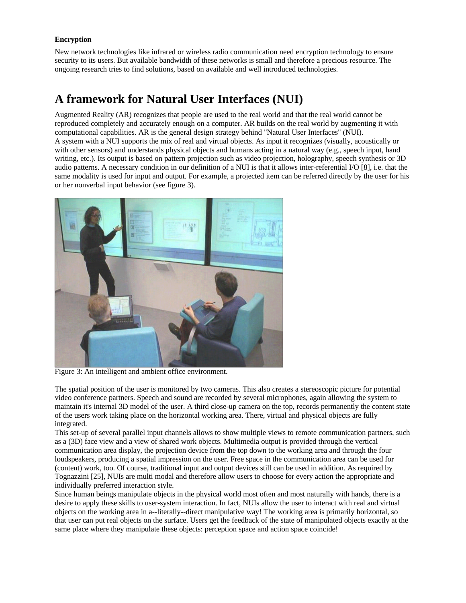### **Encryption**

New network technologies like infrared or wireless radio communication need encryption technology to ensure security to its users. But available bandwidth of these networks is small and therefore a precious resource. The ongoing research tries to find solutions, based on available and well introduced technologies.

# **A framework for Natural User Interfaces (NUI)**

Augmented Reality (AR) recognizes that people are used to the real world and that the real world cannot be reproduced completely and accurately enough on a computer. AR builds on the real world by augmenting it with computational capabilities. AR is the general design strategy behind "Natural User Interfaces" (NUI). A system with a NUI supports the mix of real and virtual objects. As input it recognizes (visually, acoustically or with other sensors) and understands physical objects and humans acting in a natural way (e.g., speech input, hand writing, etc.). Its output is based on pattern projection such as video projection, holography, speech synthesis or 3D audio patterns. A necessary condition in our definition of a NUI is that it allows inter-referential I/O [8], i.e. that the same modality is used for input and output. For example, a projected item can be referred directly by the user for his or her nonverbal input behavior (see figure 3).



Figure 3: An intelligent and ambient office environment.

The spatial position of the user is monitored by two cameras. This also creates a stereoscopic picture for potential video conference partners. Speech and sound are recorded by several microphones, again allowing the system to maintain it's internal 3D model of the user. A third close-up camera on the top, records permanently the content state of the users work taking place on the horizontal working area. There, virtual and physical objects are fully integrated.

This set-up of several parallel input channels allows to show multiple views to remote communication partners, such as a (3D) face view and a view of shared work objects. Multimedia output is provided through the vertical communication area display, the projection device from the top down to the working area and through the four loudspeakers, producing a spatial impression on the user. Free space in the communication area can be used for (content) work, too. Of course, traditional input and output devices still can be used in addition. As required by Tognazzini [25], NUIs are multi modal and therefore allow users to choose for every action the appropriate and individually preferred interaction style.

Since human beings manipulate objects in the physical world most often and most naturally with hands, there is a desire to apply these skills to user-system interaction. In fact, NUIs allow the user to interact with real and virtual objects on the working area in a--literally--direct manipulative way! The working area is primarily horizontal, so that user can put real objects on the surface. Users get the feedback of the state of manipulated objects exactly at the same place where they manipulate these objects: perception space and action space coincide!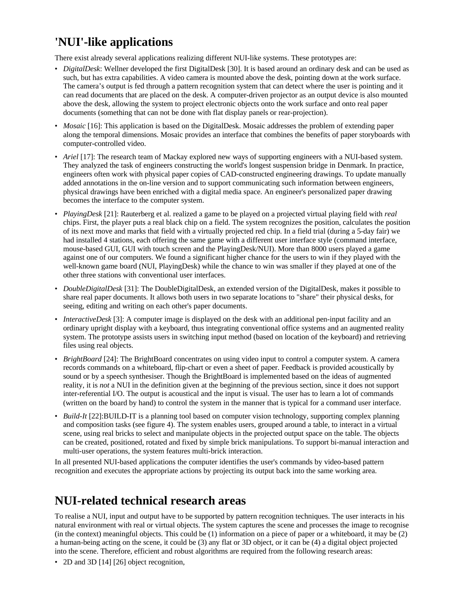# **'NUI'-like applications**

There exist already several applications realizing different NUI-like systems. These prototypes are:

- *DigitalDesk*: Wellner developed the first DigitalDesk [30]. It is based around an ordinary desk and can be used as such, but has extra capabilities. A video camera is mounted above the desk, pointing down at the work surface. The camera's output is fed through a pattern recognition system that can detect where the user is pointing and it can read documents that are placed on the desk. A computer-driven projector as an output device is also mounted above the desk, allowing the system to project electronic objects onto the work surface and onto real paper documents (something that can not be done with flat display panels or rear-projection).
- *Mosaic* [16]: This application is based on the DigitalDesk. Mosaic addresses the problem of extending paper along the temporal dimensions. Mosaic provides an interface that combines the benefits of paper storyboards with computer-controlled video.
- *Ariel* [17]: The research team of Mackay explored new ways of supporting engineers with a NUI-based system. They analyzed the task of engineers constructing the world's longest suspension bridge in Denmark. In practice, engineers often work with physical paper copies of CAD-constructed engineering drawings. To update manually added annotations in the on-line version and to support communicating such information between engineers, physical drawings have been enriched with a digital media space. An engineer's personalized paper drawing becomes the interface to the computer system.
- *PlayingDesk* [21]: Rauterberg et al. realized a game to be played on a projected virtual playing field with *real* chips. First, the player puts a real black chip on a field. The system recognizes the position, calculates the position of its next move and marks that field with a virtually projected red chip. In a field trial (during a 5-day fair) we had installed 4 stations, each offering the same game with a different user interface style (command interface, mouse-based GUI, GUI with touch screen and the PlayingDesk/NUI). More than 8000 users played a game against one of our computers. We found a significant higher chance for the users to win if they played with the well-known game board (NUI, PlayingDesk) while the chance to win was smaller if they played at one of the other three stations with conventional user interfaces.
- *DoubleDigitalDesk* [31]: The DoubleDigitalDesk, an extended version of the DigitalDesk, makes it possible to share real paper documents. It allows both users in two separate locations to "share" their physical desks, for seeing, editing and writing on each other's paper documents.
- *InteractiveDesk* [3]: A computer image is displayed on the desk with an additional pen-input facility and an ordinary upright display with a keyboard, thus integrating conventional office systems and an augmented reality system. The prototype assists users in switching input method (based on location of the keyboard) and retrieving files using real objects.
- *BrightBoard* [24]: The BrightBoard concentrates on using video input to control a computer system. A camera records commands on a whiteboard, flip-chart or even a sheet of paper. Feedback is provided acoustically by sound or by a speech synthesiser. Though the BrightBoard is implemented based on the ideas of augmented reality, it is *not* a NUI in the definition given at the beginning of the previous section, since it does not support inter-referential I/O. The output is acoustical and the input is visual. The user has to learn a lot of commands (written on the board by hand) to control the system in the manner that is typical for a command user interface.
- *Build-It* [22]:BUILD-IT is a planning tool based on computer vision technology, supporting complex planning and composition tasks (see figure 4). The system enables users, grouped around a table, to interact in a virtual scene, using real bricks to select and manipulate objects in the projected output space on the table. The objects can be created, positioned, rotated and fixed by simple brick manipulations. To support bi-manual interaction and multi-user operations, the system features multi-brick interaction.

In all presented NUI-based applications the computer identifies the user's commands by video-based pattern recognition and executes the appropriate actions by projecting its output back into the same working area.

## **NUI-related technical research areas**

To realise a NUI, input and output have to be supported by pattern recognition techniques. The user interacts in his natural environment with real or virtual objects. The system captures the scene and processes the image to recognise (in the context) meaningful objects. This could be (1) information on a piece of paper or a whiteboard, it may be (2) a human-being acting on the scene, it could be (3) any flat or 3D object, or it can be (4) a digital object projected into the scene. Therefore, efficient and robust algorithms are required from the following research areas:

• 2D and 3D [14] [26] object recognition,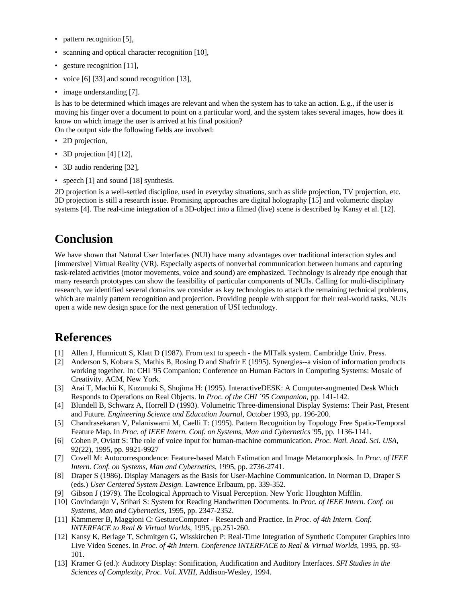- pattern recognition [5],
- scanning and optical character recognition [10],
- gesture recognition [11],
- voice [6] [33] and sound recognition [13],
- image understanding [7].

Is has to be determined which images are relevant and when the system has to take an action. E.g., if the user is moving his finger over a document to point on a particular word, and the system takes several images, how does it know on which image the user is arrived at his final position?

On the output side the following fields are involved:

- 2D projection,
- 3D projection [4] [12],
- 3D audio rendering [32],
- speech [1] and sound [18] synthesis.

2D projection is a well-settled discipline, used in everyday situations, such as slide projection, TV projection, etc. 3D projection is still a research issue. Promising approaches are digital holography [15] and volumetric display systems [4]. The real-time integration of a 3D-object into a filmed (live) scene is described by Kansy et al. [12].

### **Conclusion**

We have shown that Natural User Interfaces (NUI) have many advantages over traditional interaction styles and [immersive] Virtual Reality (VR). Especially aspects of nonverbal communication between humans and capturing task-related activities (motor movements, voice and sound) are emphasized. Technology is already ripe enough that many research prototypes can show the feasibility of particular components of NUIs. Calling for multi-disciplinary research, we identified several domains we consider as key technologies to attack the remaining technical problems, which are mainly pattern recognition and projection. Providing people with support for their real-world tasks, NUIs open a wide new design space for the next generation of USI technology.

### **References**

- [1] Allen J, Hunnicutt S, Klatt D (1987). From text to speech the MITalk system. Cambridge Univ. Press.
- [2] Anderson S, Kobara S, Mathis B, Rosing D and Shafrir E (1995). Synergies--a vision of information products working together. In: CHI '95 Companion: Conference on Human Factors in Computing Systems: Mosaic of Creativity. ACM, New York.
- [3] Arai T, Machii K, Kuzunuki S, Shojima H: (1995). InteractiveDESK: A Computer-augmented Desk Which Responds to Operations on Real Objects. In *Proc. of the CHI ´95 Companion*, pp. 141-142.
- [4] Blundell B, Schwarz A, Horrell D (1993). Volumetric Three-dimensional Display Systems: Their Past, Present and Future. *Engineering Science and Education Journal*, October 1993, pp. 196-200.
- [5] Chandrasekaran V, Palaniswami M, Caelli T: (1995). Pattern Recognition by Topology Free Spatio-Temporal Feature Map. In *Proc. of IEEE Intern. Conf. on Systems, Man and Cybernetics* '95, pp. 1136-1141.
- [6] Cohen P, Oviatt S: The role of voice input for human-machine communication. *Proc. Natl. Acad. Sci. USA,* 92(22), 1995, pp. 9921-9927
- [7] Covell M: Autocorrespondence: Feature-based Match Estimation and Image Metamorphosis. In *Proc. of IEEE Intern. Conf. on Systems, Man and Cybernetics*, 1995, pp. 2736-2741.
- [8] Draper S (1986). Display Managers as the Basis for User-Machine Communication. In Norman D, Draper S (eds.) *User Centered System Design*. Lawrence Erlbaum, pp. 339-352.
- [9] Gibson J (1979). The Ecological Approach to Visual Perception. New York: Houghton Mifflin.
- [10] Govindaraju V, Srihari S: System for Reading Handwritten Documents. In *Proc. of IEEE Intern. Conf. on Systems, Man and Cybernetics*, 1995, pp. 2347-2352.
- [11] Kämmerer B, Maggioni C: GestureComputer Research and Practice. In *Proc. of 4th Intern. Conf. INTERFACE to Real & Virtual Worlds*, 1995, pp.251-260.
- [12] Kansy K, Berlage T, Schmitgen G, Wisskirchen P: Real-Time Integration of Synthetic Computer Graphics into Live Video Scenes. In *Proc. of 4th Intern. Conference INTERFACE to Real & Virtual Worlds*, 1995, pp. 93- 101.
- [13] Kramer G (ed.): Auditory Display: Sonification, Audification and Auditory Interfaces. *SFI Studies in the Sciences of Complexity, Proc. Vol. XVIII*, Addison-Wesley, 1994.